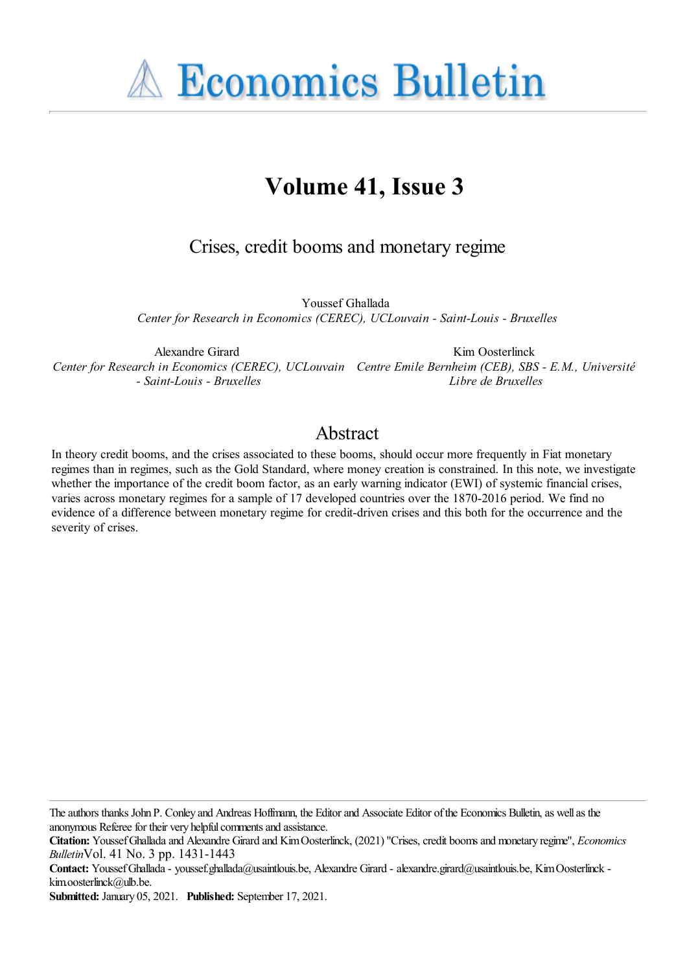**A Economics Bulletin** 

# **Volume 41, Issue 3**

Crises, credit booms and monetary regime

Youssef Ghallada *Center for Research in Economics (CEREC), UCLouvain - Saint-Louis - Bruxelles*

Alexandre Girard *Center for Research in Economics (CEREC), UCLouvain Centre Emile Bernheim (CEB), SBS - E.M., Université - Saint-Louis - Bruxelles* Kim Oosterlinck *Libre de Bruxelles*

## Abstract

In theory credit booms, and the crises associated to these booms, should occur more frequently in Fiat monetary regimes than in regimes, such as the Gold Standard, where money creation is constrained. In this note, we investigate whether the importance of the credit boom factor, as an early warning indicator (EWI) of systemic financial crises, varies across monetary regimes for a sample of 17 developed countries over the 1870-2016 period. We find no evidence of a difference between monetary regime for credit-driven crises and this both for the occurrence and the severity of crises.

The authors thanks John P. Conley and Andreas Hoffmann, the Editor and Associate Editor of the Economics Bulletin, as well as the anonymous Referee for their very helpful comments and assistance.

**Contact:** YoussefGhallada- youssef.ghallada@usaintlouis.be, Alexandre Girard - alexandre.girard@usaintlouis.be, KimOosterlinck kim.oosterlinck@ulb.be.

**Submitted:** January 05, 2021. **Published:** September 17, 2021.

**Citation:** YoussefGhalladaand Alexandre Girard and KimOosterlinck, (2021) ''Crises,credit boomsand monetary regime'', *Economics Bulletin*Vol. 41 No. 3 pp. 1431-1443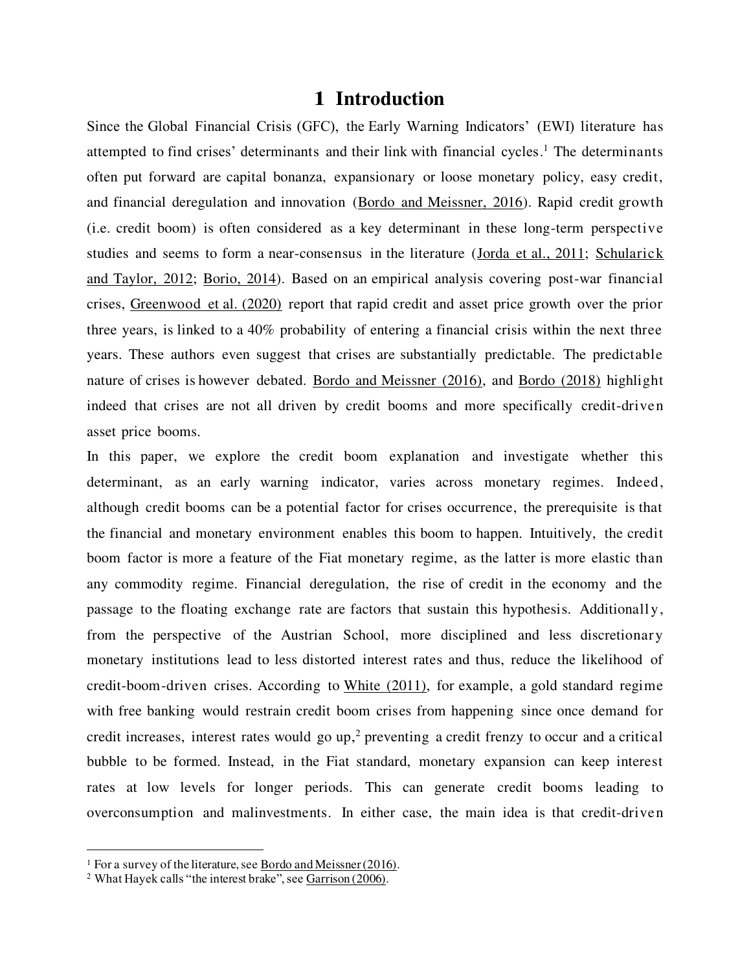#### **1 Introduction**

Since the Global Financial Crisis (GFC), the Early Warning Indicators' (EWI) literature has attempted to find crises' determinants and their link with financial cycles. <sup>1</sup> The determinants often put forward are capital bonanza, expansionary or loose monetary policy, easy credit, and financial deregulation and innovation [\(Bordo and Meissner, 2016\)](#page-12-0). Rapid credit growth (i.e. credit boom) is often considered as a key determinant in these long-term perspective studies and seems to form a near-consensus in the literature [\(Jorda et al., 2011;](#page-12-1) Schularick [and Taylor, 2012;](#page-13-0) [Borio, 2014\)](#page-12-2). Based on an empirical analysis covering post-war financial crises, [Greenwood et al. \(2020\)](#page-12-3) report that rapid credit and asset price growth over the prior three years, is linked to a 40% probability of entering a financial crisis within the next three years. These authors even suggest that crises are substantially predictable. The predictable nature of crises is however debated. [Bordo and Meissner \(2016\),](#page-12-0) and [Bordo \(2018\)](#page-12-4) highlight indeed that crises are not all driven by credit booms and more specifically credit-driven asset price booms.

In this paper, we explore the credit boom explanation and investigate whether this determinant, as an early warning indicator, varies across monetary regimes. Indeed, although credit booms can be a potential factor for crises occurrence, the prerequisite is that the financial and monetary environment enables this boom to happen. Intuitively, the credit boom factor is more a feature of the Fiat monetary regime, as the latter is more elastic than any commodity regime. Financial deregulation, the rise of credit in the economy and the passage to the floating exchange rate are factors that sustain this hypothesis. Additionally, from the perspective of the Austrian School, more disciplined and less discretionary monetary institutions lead to less distorted interest rates and thus, reduce the likelihood of credit-boom-driven crises. According to [White \(2011\),](#page-13-1) for example, a gold standard regime with free banking would restrain credit boom crises from happening since once demand for credit increases, interest rates would go up, <sup>2</sup> preventing a credit frenzy to occur and a critical bubble to be formed. Instead, in the Fiat standard, monetary expansion can keep interest rates at low levels for longer periods. This can generate credit booms leading to overconsumption and malinvestments. In either case, the main idea is that credit-driven

<sup>&</sup>lt;sup>1</sup> For a survey of the literature, see **Bordo and Meissner (2016)**.

<sup>2</sup> What Hayek calls "the interest brake", see [Garrison \(2006](#page-12-5)).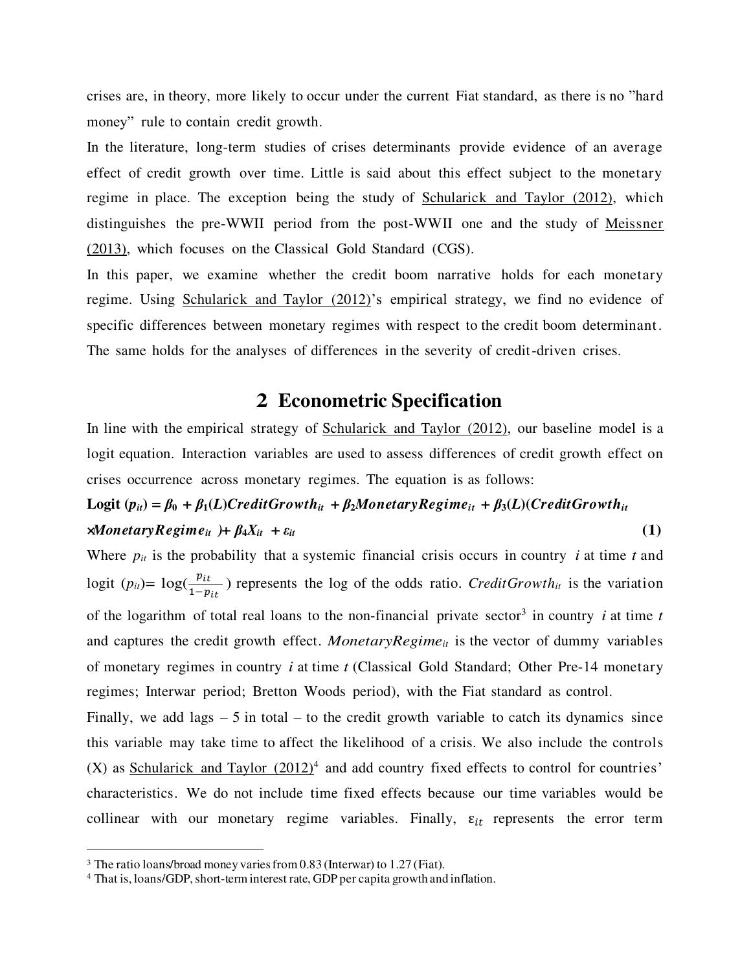crises are, in theory, more likely to occur under the current Fiat standard, as there is no "hard money" rule to contain credit growth.

In the literature, long-term studies of crises determinants provide evidence of an average effect of credit growth over time. Little is said about this effect subject to the monetary regime in place. The exception being the study of [Schularick and Taylor \(2012\)](#page-13-0), which distinguishes the pre-WWII period from the post-WWII one and the study of [Meissner](#page-12-6)  [\(2013\)](#page-12-6), which focuses on the Classical Gold Standard (CGS).

In this paper, we examine whether the credit boom narrative holds for each monetary regime. Using [Schularick and Taylor \(2012\)](#page-13-0)'s empirical strategy, we find no evidence of specific differences between monetary regimes with respect to the credit boom determinant. The same holds for the analyses of differences in the severity of credit-driven crises.

### **2 Econometric Specification**

In line with the empirical strategy of [Schularick and Taylor \(2012\)](#page-13-0), our baseline model is a logit equation. Interaction variables are used to assess differences of credit growth effect on crises occurrence across monetary regimes. The equation is as follows:

## Logit  $(p_{ii}) = \beta_0 + \beta_1(L)CreditGrowth_{it} + \beta_2MonetaryRegime_{it} + \beta_3(L)(CreditGrowth_{it}$  $\mathcal{A}$ *MonetaryRegime<sub>it</sub>* )**+**  $\beta_4 X_{it}$  +  $\varepsilon_{it}$  (1)

Where  $p_{it}$  is the probability that a systemic financial crisis occurs in country *i* at time *t* and logit  $(p_{it}) = \log(\frac{p_{it}}{1-p_{it}})$  represents the log of the odds ratio. *CreditGrowth<sub>it</sub>* is the variation of the logarithm of total real loans to the non-financial private sector<sup>3</sup> in country *i* at time *t* and captures the credit growth effect. *MonetaryRegime<sub>it</sub>* is the vector of dummy variables of monetary regimes in country *i* at time *t* (Classical Gold Standard; Other Pre-14 monetary regimes; Interwar period; Bretton Woods period), with the Fiat standard as control.

Finally, we add lags  $-5$  in total – to the credit growth variable to catch its dynamics since this variable may take time to affect the likelihood of a crisis. We also include the controls (X) as **Schularick and Taylor**  $(2012)^4$  and add country fixed effects to control for countries' characteristics. We do not include time fixed effects because our time variables would be collinear with our monetary regime variables. Finally,  $\varepsilon_{it}$  represents the error term

<sup>&</sup>lt;sup>3</sup> The ratio loans/broad money varies from 0.83 (Interwar) to 1.27 (Fiat).

<sup>&</sup>lt;sup>4</sup> That is, loans/GDP, short-term interest rate, GDP per capita growth and inflation.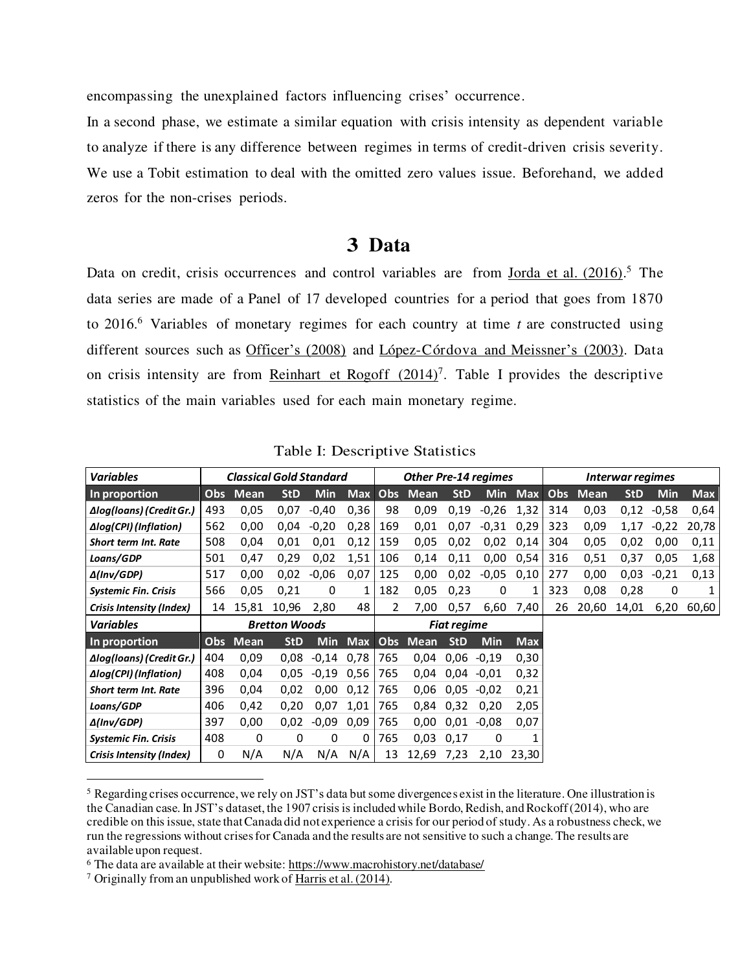encompassing the unexplained factors influencing crises' occurrence.

In a second phase, we estimate a similar equation with crisis intensity as dependent variable to analyze if there is any difference between regimes in terms of credit-driven crisis severity. We use a Tobit estimation to deal with the omitted zero values issue. Beforehand, we added zeros for the non-crises periods.

#### **3 Data**

Data on credit, crisis occurrences and control variables are from <u>Jorda et al. (2016)</u>.<sup>5</sup> The data series are made of a Panel of 17 developed countries for a period that goes from 1870 to 2016.<sup>6</sup> Variables of monetary regimes for each country at time *t* are constructed using different sources such as [Officer's \(2008\)](#page-12-8) and [López-Córdova and Meissner](#page-12-9)'s (2003). Data on crisis intensity are from Reinhart et Rogoff  $(2014)^7$ . Table I provides the descriptive statistics of the main variables used for each main monetary regime.

| <b>Variables</b>              | <b>Classical Gold Standard</b> |          |            |            | <b>Other Pre-14 regimes</b> |                |             |            | Interwar regimes |            |     |             |            |            |            |
|-------------------------------|--------------------------------|----------|------------|------------|-----------------------------|----------------|-------------|------------|------------------|------------|-----|-------------|------------|------------|------------|
| In proportion                 | Obs                            | Mean     | <b>StD</b> | <b>Min</b> | <b>Max</b>                  | Obs            | <b>Mean</b> | <b>StD</b> | <b>Min</b>       | <b>Max</b> | Obs | <b>Mean</b> | <b>StD</b> | <b>Min</b> | <b>Max</b> |
| Δlog(loans) (Credit Gr.)      | 493                            | 0,05     | 0,07       | $-0,40$    | 0,36                        | 98             | 0,09        | 0,19       | $-0,26$          | 1,32       | 314 | 0,03        | 0,12       | $-0,58$    | 0,64       |
| Δlog(CPI) (Inflation)         | 562                            | 0,00     | 0,04       | $-0,20$    | 0,28                        | 169            | 0,01        | 0,07       | $-0.31$          | 0,29       | 323 | 0,09        | 1,17       | $-0,22$    | 20,78      |
| <b>Short term Int. Rate</b>   | 508                            | 0,04     | 0,01       | 0,01       | 0,12                        | 159            | 0,05        | 0,02       | 0,02             | 0,14       | 304 | 0,05        | 0,02       | 0,00       | 0,11       |
| Loans/GDP                     | 501                            | 0,47     | 0,29       | 0,02       | 1,51                        | 106            | 0,14        | 0,11       | 0,00             | 0,54       | 316 | 0,51        | 0,37       | 0,05       | 1,68       |
| $\Delta$ (Inv/GDP)            | 517                            | 0,00     | 0,02       | $-0,06$    | 0,07                        | 125            | 0,00        | 0,02       | $-0.05$          | 0,10       | 277 | 0,00        | 0,03       | $-0.21$    | 0,13       |
| <b>Systemic Fin. Crisis</b>   | 566                            | 0,05     | 0,21       | 0          | 1                           | 182            | 0,05        | 0,23       | 0                |            | 323 | 0,08        | 0,28       | 0          | 1          |
| Crisis Intensity (Index)      | 14                             | 15,81    | 10,96      | 2,80       | 48                          | $\overline{2}$ | 7,00        | 0,57       | 6,60             | 7,40       | 26  | 20,60       | 14,01      | 6,20       | 60,60      |
| <b>Variables</b>              | <b>Bretton Woods</b>           |          |            |            | <b>Fiat regime</b>          |                |             |            |                  |            |     |             |            |            |            |
| In proportion                 |                                | Obs Mean | <b>StD</b> | <b>Min</b> | <b>Max</b>                  | Obs            | Mean        | <b>StD</b> | <b>Min</b>       | <b>Max</b> |     |             |            |            |            |
| Δlog(loans) (Credit Gr.)      | 404                            | 0,09     | 0.08       | $-0,14$    | 0,78                        | 765            | 0,04        | 0,06       | $-0.19$          | 0,30       |     |             |            |            |            |
| $\Delta$ log(CPI) (Inflation) | 408                            | 0,04     | 0.05       | $-0.19$    | 0,56                        | 765            | 0,04        | 0,04       | $-0.01$          | 0,32       |     |             |            |            |            |
| <b>Short term Int. Rate</b>   | 396                            | 0,04     | 0,02       | 0,00       | 0,12                        | 765            | 0,06        | 0,05       | $-0.02$          | 0,21       |     |             |            |            |            |
| Loans/GDP                     | 406                            | 0,42     | 0,20       | 0,07       | 1,01                        | 765            | 0,84        | 0,32       | 0,20             | 2,05       |     |             |            |            |            |
| $\Delta$ (Inv/GDP)            | 397                            | 0,00     | 0,02       | $-0.09$    | 0,09                        | 765            | 0,00        | 0,01       | $-0.08$          | 0,07       |     |             |            |            |            |
| <b>Systemic Fin. Crisis</b>   | 408                            | 0        | 0          | 0          | 0                           | 765            | 0,03        | 0,17       | 0                |            |     |             |            |            |            |
| Crisis Intensity (Index)      | 0                              | N/A      | N/A        | N/A        | N/A                         | 13             | 12,69       | 7,23       | 2,10             | 23.30      |     |             |            |            |            |

Table I: Descriptive Statistics

<sup>5</sup> Regarding crises occurrence, we rely on JST's data but some divergences exist in the literature. One illustration is the Canadian case. In JST's dataset, the 1907 crisis is included while Bordo, Redish, and Rockoff (2014), who are credible on this issue, state that Canada did not experience a crisis for our period of study. As a robustness check, we run the regressions without crises for Canada and the results are not sensitive to such a change. The results are available upon request.

<sup>&</sup>lt;sup>6</sup> The data are available at their website[: https://www.macrohistory.net/database/](https://www.macrohistory.net/database/)

<sup>&</sup>lt;sup>7</sup> Originally from an unpublished work o[f Harris et al. \(2014\).](#page-12-10)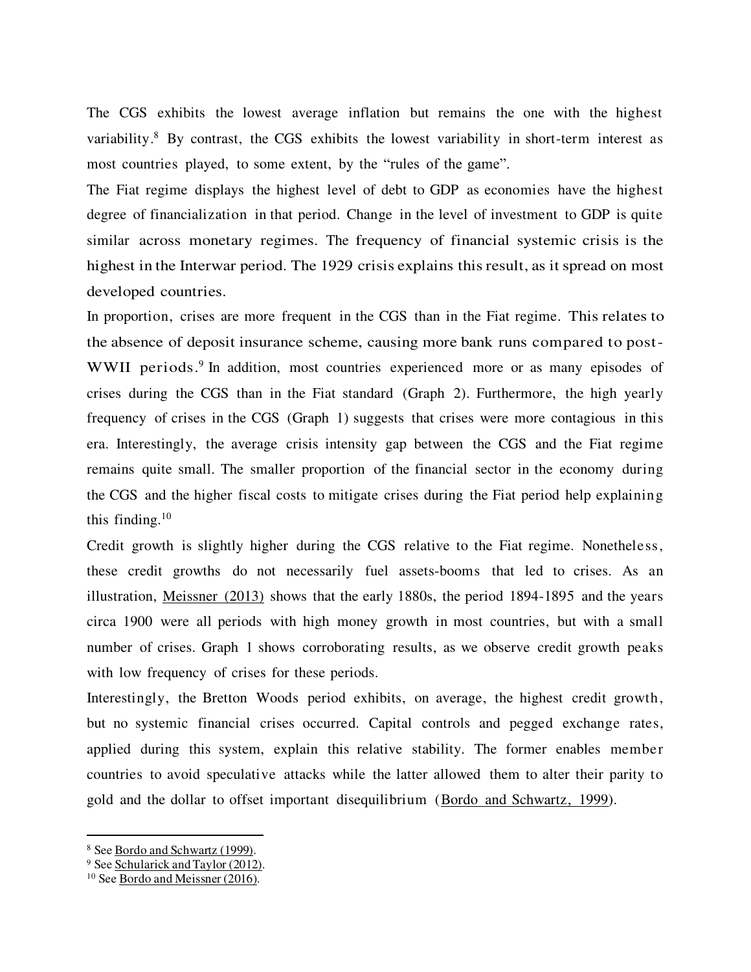The CGS exhibits the lowest average inflation but remains the one with the highest variability.<sup>8</sup> By contrast, the CGS exhibits the lowest variability in short-term interest as most countries played, to some extent, by the "rules of the game".

The Fiat regime displays the highest level of debt to GDP as economies have the highest degree of financialization in that period. Change in the level of investment to GDP is quite similar across monetary regimes. The frequency of financial systemic crisis is the highest in the Interwar period. The 1929 crisis explains this result, as it spread on most developed countries.

In proportion, crises are more frequent in the CGS than in the Fiat regime. This relates to the absence of deposit insurance scheme, causing more bank runs compared to post-WWII periods.<sup>9</sup> In addition, most countries experienced more or as many episodes of crises during the CGS than in the Fiat standard (Graph 2). Furthermore, the high yearly frequency of crises in the CGS (Graph 1) suggests that crises were more contagious in this era. Interestingly, the average crisis intensity gap between the CGS and the Fiat regime remains quite small. The smaller proportion of the financial sector in the economy during the CGS and the higher fiscal costs to mitigate crises during the Fiat period help explaining this finding.<sup>10</sup>

Credit growth is slightly higher during the CGS relative to the Fiat regime. Nonetheless, these credit growths do not necessarily fuel assets-booms that led to crises. As an illustration, [Meissner \(2013\)](#page-12-6) shows that the early 1880s, the period 1894-1895 and the years circa 1900 were all periods with high money growth in most countries, but with a small number of crises. Graph 1 shows corroborating results, as we observe credit growth peaks with low frequency of crises for these periods.

Interestingly, the Bretton Woods period exhibits, on average, the highest credit growth, but no systemic financial crises occurred. Capital controls and pegged exchange rates, applied during this system, explain this relative stability. The former enables member countries to avoid speculative attacks while the latter allowed them to alter their parity to gold and the dollar to offset important disequilibrium [\(Bordo and Schwartz, 1999\)](#page-12-11).

<sup>&</sup>lt;sup>8</sup> See <u>Bordo and Schwartz</u> (1999).

<sup>&</sup>lt;sup>9</sup> Se[e Schularick and Taylor \(2012](#page-13-0)).

<sup>10</sup> Se[e Bordo and Meissner \(2016\)](#page-12-0).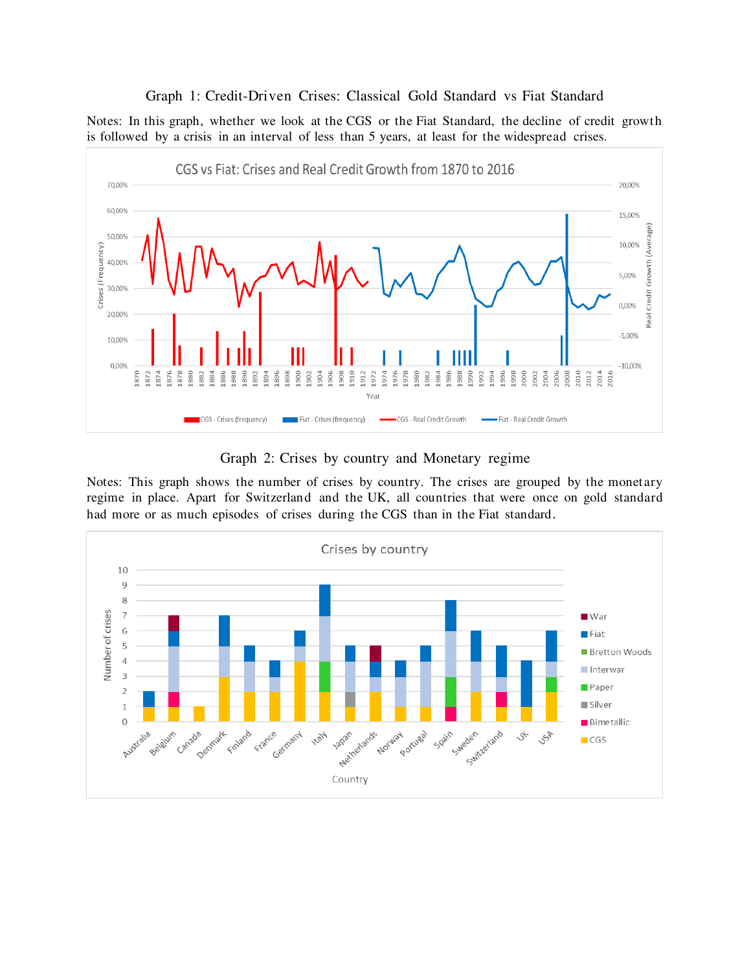#### Graph 1: Credit-Driven Crises: Classical Gold Standard vs Fiat Standard

Notes: In this graph, whether we look at the CGS or the Fiat Standard, the decline of credit growth is followed by a crisis in an interval of less than 5 years, at least for the widespread crises.



Graph 2: Crises by country and Monetary regime

Notes: This graph shows the number of crises by country. The crises are grouped by the monetary regime in place. Apart for Switzerland and the UK, all countries that were once on gold standard had more or as much episodes of crises during the CGS than in the Fiat standard.

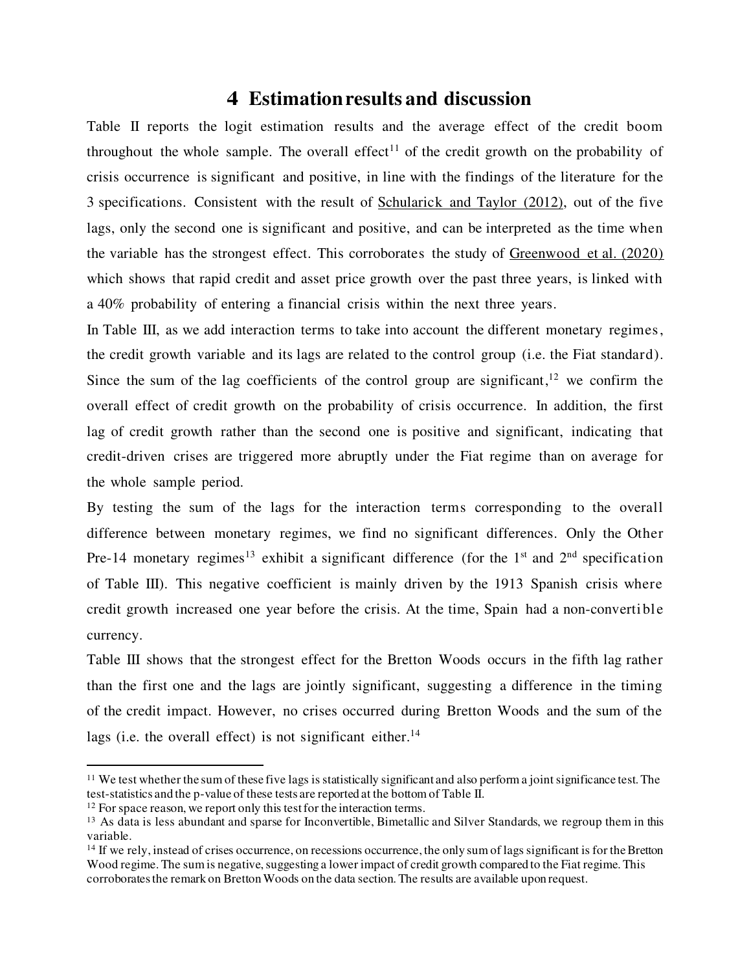## **4 Estimation results and discussion**

Table II reports the logit estimation results and the average effect of the credit boom throughout the whole sample. The overall effect<sup>11</sup> of the credit growth on the probability of crisis occurrence is significant and positive, in line with the findings of the literature for the 3 specifications. Consistent with the result of [Schularick and Taylor \(2012\)](#page-13-0), out of the five lags, only the second one is significant and positive, and can be interpreted as the time when the variable has the strongest effect. This corroborates the study of [Greenwood et al. \(2020\)](#page-12-3)  which shows that rapid credit and asset price growth over the past three years, is linked with a 40% probability of entering a financial crisis within the next three years.

In Table III, as we add interaction terms to take into account the different monetary regimes, the credit growth variable and its lags are related to the control group (i.e. the Fiat standard). Since the sum of the lag coefficients of the control group are significant,<sup>12</sup> we confirm the overall effect of credit growth on the probability of crisis occurrence. In addition, the first lag of credit growth rather than the second one is positive and significant, indicating that credit-driven crises are triggered more abruptly under the Fiat regime than on average for the whole sample period.

By testing the sum of the lags for the interaction terms corresponding to the overall difference between monetary regimes, we find no significant differences. Only the Other Pre-14 monetary regimes<sup>13</sup> exhibit a significant difference (for the 1<sup>st</sup> and 2<sup>nd</sup> specification of Table III). This negative coefficient is mainly driven by the 1913 Spanish crisis where credit growth increased one year before the crisis. At the time, Spain had a non-convertible currency.

Table III shows that the strongest effect for the Bretton Woods occurs in the fifth lag rather than the first one and the lags are jointly significant, suggesting a difference in the timing of the credit impact. However, no crises occurred during Bretton Woods and the sum of the lags (i.e. the overall effect) is not significant either. $14$ 

 $11$  We test whether the sum of these five lags is statistically significant and also perform a joint significance test. The test-statistics and the p-value of these tests are reported at the bottom of Table II.

 $12$  For space reason, we report only this test for the interaction terms.

<sup>&</sup>lt;sup>13</sup> As data is less abundant and sparse for Inconvertible, Bimetallic and Silver Standards, we regroup them in this variable.

<sup>&</sup>lt;sup>14</sup> If we rely, instead of crises occurrence, on recessions occurrence, the only sum of lags significant is for the Bretton Wood regime. The sum is negative, suggesting a lower impact of credit growth compared to the Fiat regime. This corroborates the remark on Bretton Woods on the data section. The results are available upon request.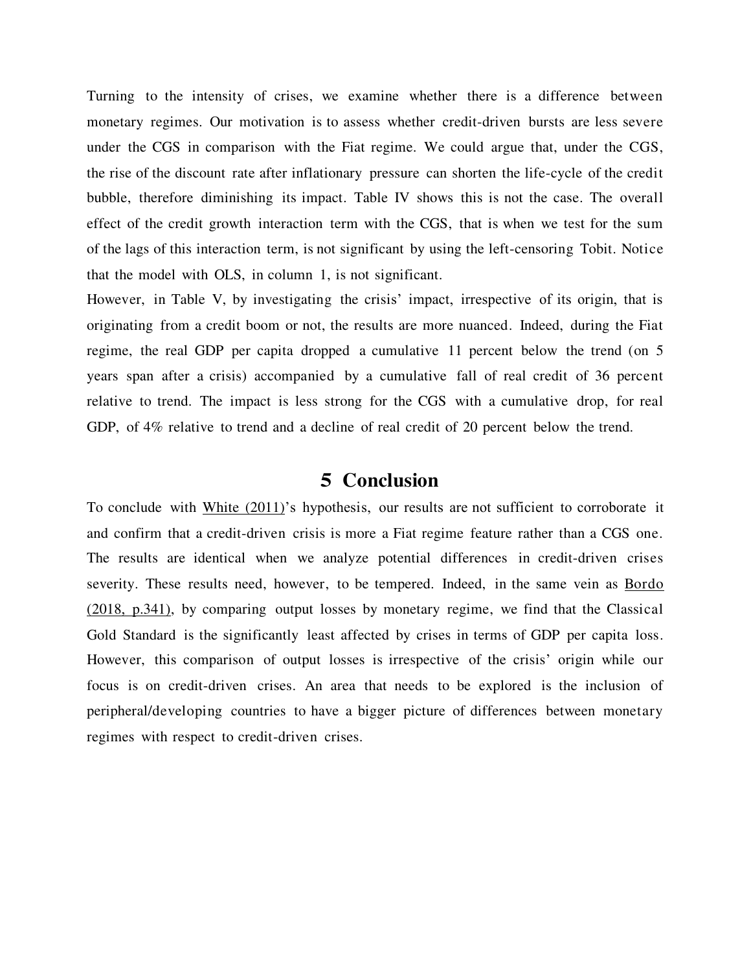Turning to the intensity of crises, we examine whether there is a difference between monetary regimes. Our motivation is to assess whether credit-driven bursts are less severe under the CGS in comparison with the Fiat regime. We could argue that, under the CGS, the rise of the discount rate after inflationary pressure can shorten the life-cycle of the credit bubble, therefore diminishing its impact. Table IV shows this is not the case. The overall effect of the credit growth interaction term with the CGS, that is when we test for the sum of the lags of this interaction term, is not significant by using the left-censoring Tobit. Notice that the model with OLS, in column 1, is not significant.

However, in Table V, by investigating the crisis' impact, irrespective of its origin, that is originating from a credit boom or not, the results are more nuanced. Indeed, during the Fiat regime, the real GDP per capita dropped a cumulative 11 percent below the trend (on 5 years span after a crisis) accompanied by a cumulative fall of real credit of 36 percent relative to trend. The impact is less strong for the CGS with a cumulative drop, for real GDP, of 4% relative to trend and a decline of real credit of 20 percent below the trend.

#### **5 Conclusion**

To conclude with [White \(2011\)](#page-13-1)'s hypothesis, our results are not sufficient to corroborate it and confirm that a credit-driven crisis is more a Fiat regime feature rather than a CGS one. The results are identical when we analyze potential differences in credit-driven crises severity. These results need, however, to be tempered. Indeed, in the same vein as [Bordo](#page-12-4)  [\(2018, p.341\),](#page-12-4) by comparing output losses by monetary regime, we find that the Classical Gold Standard is the significantly least affected by crises in terms of GDP per capita loss. However, this comparison of output losses is irrespective of the crisis' origin while our focus is on credit-driven crises. An area that needs to be explored is the inclusion of peripheral/developing countries to have a bigger picture of differences between monetary regimes with respect to credit-driven crises.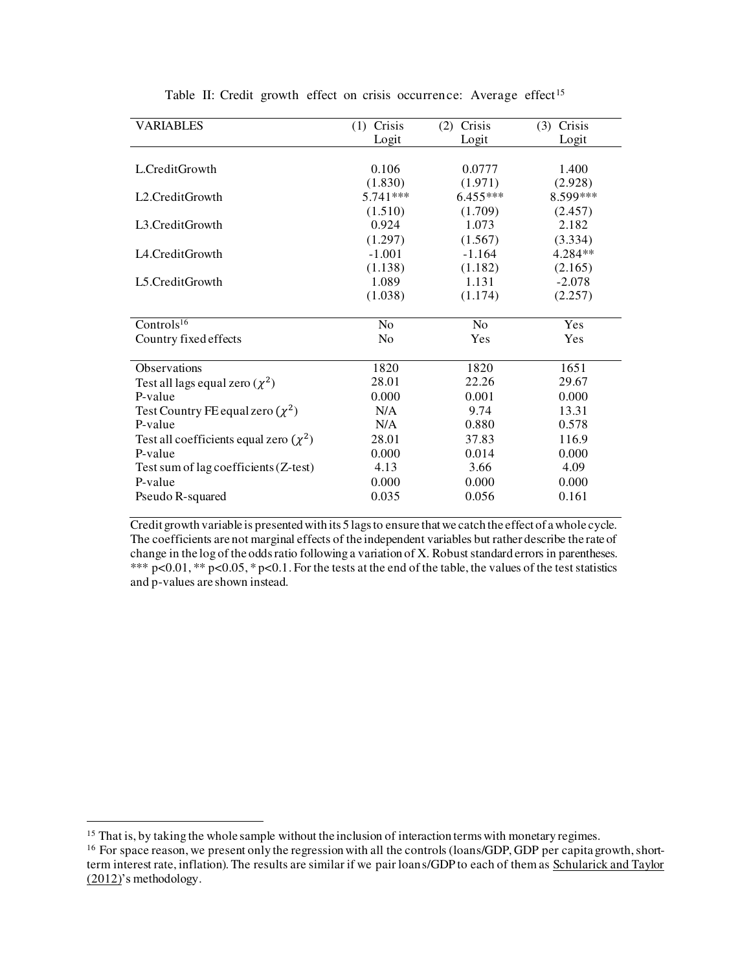| <b>VARIABLES</b>                            | $(1)$ Crisis   | Crisis<br>(2)  | Crisis<br>(3) |
|---------------------------------------------|----------------|----------------|---------------|
|                                             | Logit          | Logit          | Logit         |
|                                             |                |                |               |
| L.CreditGrowth                              | 0.106          | 0.0777         | 1.400         |
|                                             | (1.830)        | (1.971)        | (2.928)       |
| L <sub>2</sub> .CreditGrowth                | $5.741***$     | 6.455***       | 8.599***      |
|                                             | (1.510)        | (1.709)        | (2.457)       |
| L3.CreditGrowth                             | 0.924          | 1.073          | 2.182         |
|                                             | (1.297)        | (1.567)        | (3.334)       |
| L4.CreditGrowth                             | $-1.001$       | $-1.164$       | 4.284**       |
|                                             | (1.138)        | (1.182)        | (2.165)       |
| L5.CreditGrowth                             | 1.089          | 1.131          | $-2.078$      |
|                                             | (1.038)        | (1.174)        | (2.257)       |
|                                             |                |                |               |
| Controls <sup>16</sup>                      | N <sub>0</sub> | N <sub>0</sub> | Yes           |
| Country fixed effects                       | N <sub>0</sub> | Yes            | Yes           |
|                                             |                |                |               |
| Observations                                | 1820           | 1820           | 1651          |
| Test all lags equal zero $(\chi^2)$         | 28.01          | 22.26          | 29.67         |
| P-value                                     | 0.000          | 0.001          | 0.000         |
| Test Country FE equal zero $(\chi^2)$       | N/A            | 9.74           | 13.31         |
| P-value                                     | N/A            | 0.880          | 0.578         |
| Test all coefficients equal zero $(\chi^2)$ | 28.01          | 37.83          | 116.9         |
| P-value                                     | 0.000          | 0.014          | 0.000         |
| Test sum of lag coefficients (Z-test)       | 4.13           | 3.66           | 4.09          |
| P-value                                     | 0.000          | 0.000          | 0.000         |
| Pseudo R-squared                            | 0.035          | 0.056          | 0.161         |
|                                             |                |                |               |

Table II: Credit growth effect on crisis occurrence: Average effect<sup>15</sup>

Credit growth variable is presented with its 5 lags to ensure that we catch the effect of a whole cycle. The coefficients are not marginal effects of the independent variables but rather describe the rate of change in the log of the odds ratio following a variation of X. Robust standard errors in parentheses. \*\*\*  $p<0.01$ , \*\*  $p<0.05$ , \*  $p<0.1$ . For the tests at the end of the table, the values of the test statistics and p-values are shown instead.

<sup>&</sup>lt;sup>15</sup> That is, by taking the whole sample without the inclusion of interaction terms with monetary regimes.

<sup>&</sup>lt;sup>16</sup> For space reason, we present only the regression with all the controls (loans/GDP, GDP per capita growth, shortterm interest rate, inflation). The results are similar if we pair loans/GDP to each of them as [Schularick and Taylor](#page-13-0)  [\(2012](#page-13-0))'s methodology.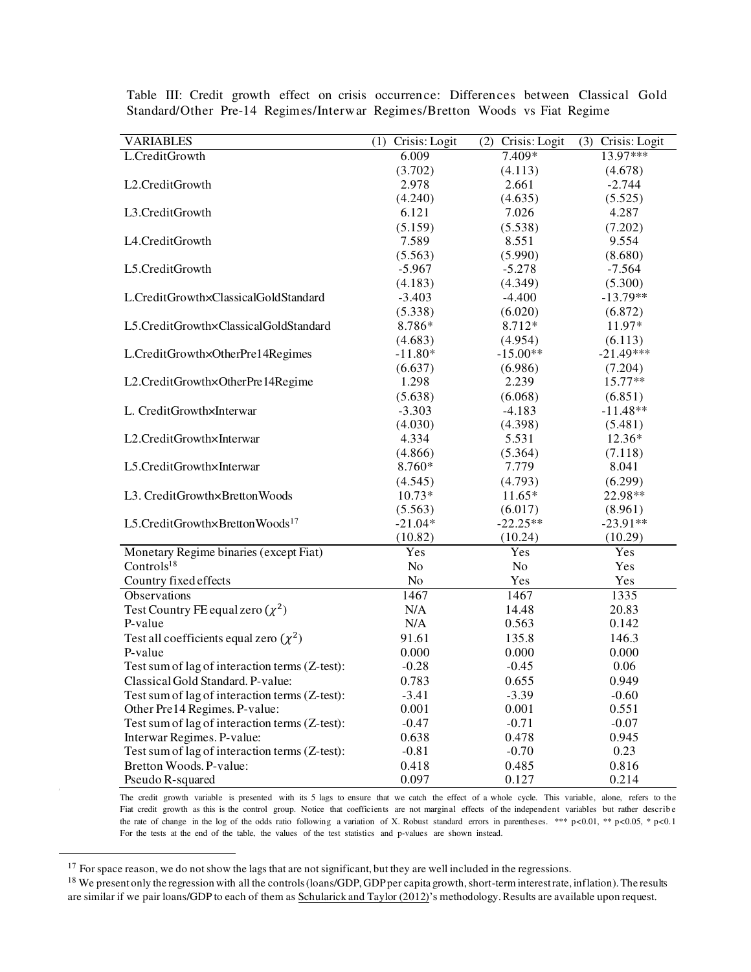| <b>VARIABLES</b>                               | Crisis: Logit<br>(1) | Crisis: Logit<br>(2) | $(3)$ Crisis: Logit |
|------------------------------------------------|----------------------|----------------------|---------------------|
| L.CreditGrowth                                 | 6.009                | 7.409*               | $13.97***$          |
|                                                | (3.702)              | (4.113)              | (4.678)             |
| L2.CreditGrowth                                | 2.978                | 2.661                | $-2.744$            |
|                                                | (4.240)              | (4.635)              | (5.525)             |
| L3.CreditGrowth                                | 6.121                | 7.026                | 4.287               |
|                                                | (5.159)              | (5.538)              | (7.202)             |
| L4.CreditGrowth                                | 7.589                | 8.551                | 9.554               |
|                                                | (5.563)              | (5.990)              | (8.680)             |
| L5.CreditGrowth                                | $-5.967$             | $-5.278$             | $-7.564$            |
|                                                | (4.183)              | (4.349)              | (5.300)             |
| L.CreditGrowth×ClassicalGoldStandard           | $-3.403$             | $-4.400$             | $-13.79**$          |
|                                                | (5.338)              | (6.020)              | (6.872)             |
| L5.CreditGrowth×ClassicalGoldStandard          | 8.786*               | 8.712*               | 11.97*              |
|                                                | (4.683)              | (4.954)              | (6.113)             |
| L.CreditGrowth×OtherPre14Regimes               | $-11.80*$            | $-15.00**$           | $-21.49***$         |
|                                                | (6.637)              | (6.986)              | (7.204)             |
| L2.CreditGrowth×OtherPre14Regime               | 1.298                | 2.239                | $15.77**$           |
|                                                | (5.638)              | (6.068)              | (6.851)             |
| L. CreditGrowth×Interwar                       | $-3.303$             | $-4.183$             | $-11.48**$          |
|                                                | (4.030)              | (4.398)              | (5.481)             |
| L2.CreditGrowth×Interwar                       | 4.334                | 5.531                | 12.36*              |
|                                                | (4.866)              | (5.364)              | (7.118)             |
| L5.CreditGrowth×Interwar                       | 8.760*               | 7.779                | 8.041               |
|                                                | (4.545)              | (4.793)              | (6.299)             |
| L3. CreditGrowth×BrettonWoods                  | $10.73*$             | $11.65*$             | 22.98**             |
|                                                | (5.563)              | (6.017)              | (8.961)             |
| L5.CreditGrowth×BrettonWoods <sup>17</sup>     | $-21.04*$            | $-22.25**$           | $-23.91**$          |
|                                                | (10.82)              | (10.24)              | (10.29)             |
| Monetary Regime binaries (except Fiat)         | Yes                  | Yes                  | Yes                 |
| Controls <sup>18</sup>                         | No                   | N <sub>o</sub>       | Yes                 |
| Country fixed effects                          | N <sub>o</sub>       | Yes                  | Yes                 |
| Observations                                   | 1467                 | 1467                 | 1335                |
| Test Country FE equal zero $(\chi^2)$          | N/A                  | 14.48                | 20.83               |
| P-value                                        | N/A                  | 0.563                | 0.142               |
| Test all coefficients equal zero $(\chi^2)$    | 91.61                | 135.8                | 146.3               |
| P-value                                        | 0.000                | 0.000                | 0.000               |
| Test sum of lag of interaction terms (Z-test): | $-0.28$              | $-0.45$              | 0.06                |
| Classical Gold Standard. P-value:              | 0.783                | 0.655                | 0.949               |
| Test sum of lag of interaction terms (Z-test): | $-3.41$              | $-3.39$              | $-0.60$             |
| Other Pre14 Regimes. P-value:                  | 0.001                | 0.001                | 0.551               |
| Test sum of lag of interaction terms (Z-test): | $-0.47$              | $-0.71$              | $-0.07$             |
| Interwar Regimes. P-value:                     | 0.638                | 0.478                | 0.945               |
| Test sum of lag of interaction terms (Z-test): | $-0.81$              | $-0.70$              | 0.23                |
| Bretton Woods. P-value:                        | 0.418                | 0.485                | 0.816               |
| Pseudo R-squared                               | 0.097                | 0.127                | 0.214               |

Table III: Credit growth effect on crisis occurrence: Differences between Classical Gold Standard/Other Pre-14 Regimes/Interwar Regimes/Bretton Woods vs Fiat Regime

The credit growth variable is presented with its 5 lags to ensure that we catch the effect of a whole cycle. This variable, alone, refers to the Fiat credit growth as this is the control group. Notice that coefficients are not marginal effects of the independent variables but rather describe the rate of change in the log of the odds ratio following a variation of X. Robust standard errors in parentheses. \*\*\* p*<*0.01, \*\* p*<*0.05, \* p*<*0.1 For the tests at the end of the table, the values of the test statistics and p-values are shown instead.

<sup>&</sup>lt;sup>17</sup> For space reason, we do not show the lags that are not significant, but they are well included in the regressions.

<sup>&</sup>lt;sup>18</sup> We present only the regression with all the controls (loans/GDP, GDP per capita growth, short-term interest rate, inflation). The results are similar if we pair loans/GDP to each of them a[s Schularick and Taylor \(2012](#page-13-0))'s methodology. Results are available upon request.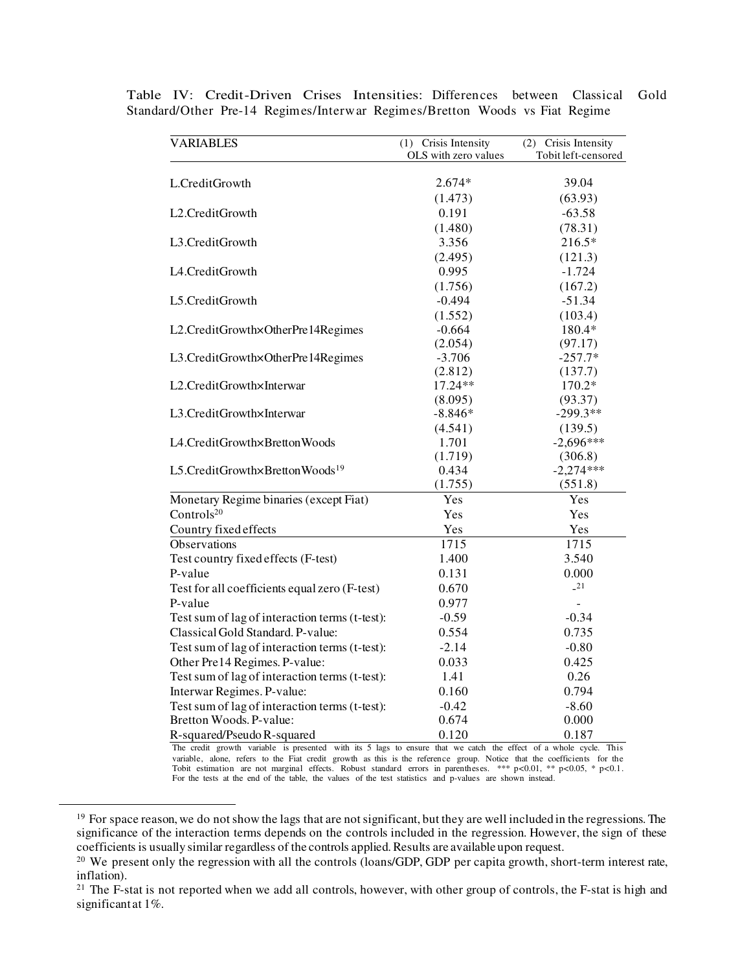| <b>VARIABLES</b>                               | (1) Crisis Intensity | (2) Crisis Intensity |  |
|------------------------------------------------|----------------------|----------------------|--|
|                                                | OLS with zero values | Tobit left-censored  |  |
| L.CreditGrowth                                 | $2.674*$             | 39.04                |  |
|                                                | (1.473)              | (63.93)              |  |
| L <sub>2</sub> .CreditGrowth                   | 0.191                | $-63.58$             |  |
|                                                | (1.480)              | (78.31)              |  |
| L3.CreditGrowth                                | 3.356                | $216.5*$             |  |
|                                                | (2.495)              | (121.3)              |  |
| L4.CreditGrowth                                | 0.995                | $-1.724$             |  |
|                                                | (1.756)              | (167.2)              |  |
| L5.CreditGrowth                                | $-0.494$             | $-51.34$             |  |
|                                                | (1.552)              | (103.4)              |  |
| L2.CreditGrowth×OtherPre14Regimes              | $-0.664$             | 180.4*               |  |
|                                                | (2.054)              | (97.17)              |  |
| L3.CreditGrowth×OtherPre14Regimes              | $-3.706$             | $-257.7*$            |  |
|                                                | (2.812)              | (137.7)              |  |
| L2.CreditGrowth×Interwar                       | 17.24**              | 170.2*               |  |
|                                                | (8.095)              | (93.37)              |  |
| L3.CreditGrowth×Interwar                       | $-8.846*$            | $-299.3**$           |  |
|                                                | (4.541)              | (139.5)              |  |
| L4.CreditGrowth×BrettonWoods                   | 1.701                | $-2,696***$          |  |
|                                                | (1.719)              | (306.8)              |  |
| L5.CreditGrowth×BrettonWoods <sup>19</sup>     | 0.434                | $-2,274***$          |  |
|                                                | (1.755)              | (551.8)              |  |
| Monetary Regime binaries (except Fiat)         | Yes                  | Yes                  |  |
| Controls <sup>20</sup>                         | Yes                  | Yes                  |  |
| Country fixed effects                          | Yes                  | Yes                  |  |
| Observations                                   | 1715                 | 1715                 |  |
| Test country fixed effects (F-test)            | 1.400                | 3.540                |  |
| P-value                                        | 0.131                | 0.000                |  |
| Test for all coefficients equal zero (F-test)  | 0.670                | $-21$                |  |
| P-value                                        | 0.977                |                      |  |
| Test sum of lag of interaction terms (t-test): | $-0.59$              | $-0.34$              |  |
| Classical Gold Standard. P-value:              | 0.554                | 0.735                |  |
| Test sum of lag of interaction terms (t-test): | $-2.14$              | $-0.80$              |  |
| Other Pre14 Regimes. P-value:                  | 0.033                | 0.425                |  |
| Test sum of lag of interaction terms (t-test): | 1.41                 | 0.26                 |  |
| Interwar Regimes. P-value:                     | 0.160                | 0.794                |  |
| Test sum of lag of interaction terms (t-test): | $-0.42$              | $-8.60$              |  |
| Bretton Woods. P-value:                        | 0.674                | 0.000                |  |
| R-squared/Pseudo R-squared                     | 0.120                | 0.187                |  |

Table IV: Credit-Driven Crises Intensities: Differences between Classical Gold Standard/Other Pre-14 Regimes/Interwar Regimes/Bretton Woods vs Fiat Regime

The credit growth variable is presented with its 5 lags to ensure that we catch the effect of a whole cycle. This variable, alone, refers to the Fiat credit growth as this is the reference group. Notice that the coefficients for the Tobit estimation are not marginal effects. Robust standard errors in parentheses. \*\*\*  $p < 0.01$ , \*\*  $p$ For the tests at the end of the table, the values of the test statistics and p-values are shown instead.

<sup>&</sup>lt;sup>19</sup> For space reason, we do not show the lags that are not significant, but they are well included in the regressions. The significance of the interaction terms depends on the controls included in the regression. However, the sign of these coefficients is usually similar regardless of the controls applied. Results are available upon request.

<sup>&</sup>lt;sup>20</sup> We present only the regression with all the controls (loans/GDP, GDP per capita growth, short-term interest rate, inflation).

<sup>&</sup>lt;sup>21</sup> The F-stat is not reported when we add all controls, however, with other group of controls, the F-stat is high and significant at 1%.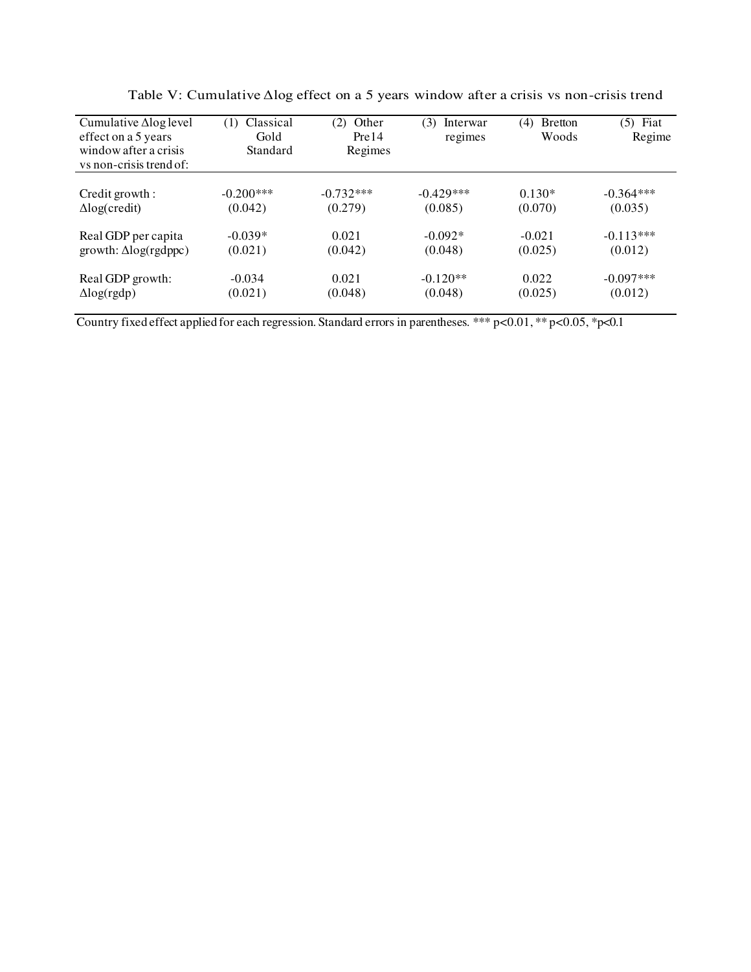| Cumulative $\Delta$ log level<br>effect on a 5 years<br>window after a crisis<br>vs non-crisis trend of: | Classical<br>(1)<br>Gold<br>Standard | (2)<br>Other<br>Pre14<br>Regimes | (3)<br>Interwar<br>regimes | <b>B</b> retton<br>(4)<br>Woods | Fiat<br>(5)<br>Regime |
|----------------------------------------------------------------------------------------------------------|--------------------------------------|----------------------------------|----------------------------|---------------------------------|-----------------------|
| Credit growth :                                                                                          | $-0.200***$                          | $-0.732***$                      | $-0.429***$                | $0.130*$                        | $-0.364***$           |
| $\Delta$ log(credit)                                                                                     | (0.042)                              | (0.279)                          | (0.085)                    | (0.070)                         | (0.035)               |
| Real GDP per capita                                                                                      | $-0.039*$                            | 0.021                            | $-0.092*$                  | $-0.021$                        | $-0.113***$           |
| $growth: \Delta log(rgdppc)$                                                                             | (0.021)                              | (0.042)                          | (0.048)                    | (0.025)                         | (0.012)               |
| Real GDP growth:                                                                                         | $-0.034$                             | 0.021                            | $-0.120**$                 | 0.022                           | $-0.097***$           |
| $\Delta$ log(rgdp)                                                                                       | (0.021)                              | (0.048)                          | (0.048)                    | (0.025)                         | (0.012)               |

Table V: Cumulative Δlog effect on a 5 years window after a crisis vs non-crisis trend

Country fixed effect applied for each regression. Standard errors in parentheses. \*\*\* p<0.01, \*\* p<0.05, \*p<0.1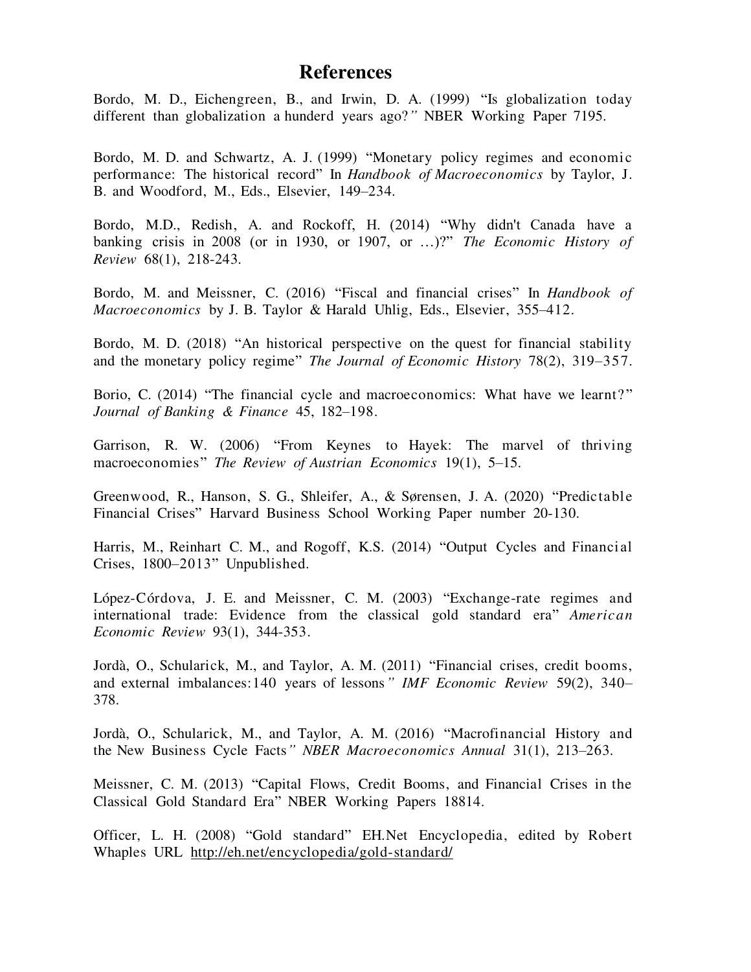#### **References**

Bordo, M. D., Eichengreen, B., and Irwin, D. A. (1999) "Is globalization today different than globalization a hunderd years ago?*"* NBER Working Paper 7195.

<span id="page-12-11"></span>Bordo, M. D. and Schwartz, A. J. (1999) "Monetary policy regimes and economic performance: The historical record" In *Handbook of Macroeconomics* by Taylor, J. B. and Woodford, M., Eds., Elsevier, 149–234.

Bordo, M.D., Redish, A. and Rockoff, H. (2014) "Why didn't Canada have a banking crisis in 2008 (or in 1930, or 1907, or …)?" *The Economic History of Review* 68(1), 218-243.

<span id="page-12-0"></span>Bordo, M. and Meissner, C. (2016) "Fiscal and financial crises" In *Handbook of Macroeconomics* by J. B. Taylor & Harald Uhlig, Eds., Elsevier, 355–412.

<span id="page-12-4"></span>Bordo, M. D. (2018) "An historical perspective on the quest for financial stability and the monetary policy regime" *The Journal of Economic History* 78(2), 319–357.

<span id="page-12-2"></span>Borio, C. (2014) "The financial cycle and macroeconomics: What have we learnt?" *Journal of Banking & Finance* 45, 182–198.

<span id="page-12-5"></span>Garrison, R. W. (2006) "From Keynes to Hayek: The marvel of thriving macroeconomies" *The Review of Austrian Economics* 19(1), 5–15.

<span id="page-12-3"></span>Greenwood, R., Hanson, S. G., Shleifer, A., & Sørensen, J. A. (2020) "Predictable Financial Crises" Harvard Business School Working Paper number 20-130.

<span id="page-12-10"></span>Harris, M., Reinhart C. M., and Rogoff, K.S. (2014) "Output Cycles and Financial Crises, 1800–2013" Unpublished.

<span id="page-12-9"></span>López-Córdova, J. E. and Meissner, C. M. (2003) "Exchange-rate regimes and international trade: Evidence from the classical gold standard era" *American Economic Review* 93(1), 344-353.

<span id="page-12-1"></span>Jordà, O., Schularick, M., and Taylor, A. M. (2011) "Financial crises, credit booms, and external imbalances:140 years of lessons*" IMF Economic Review* 59(2), 340– 378.

<span id="page-12-7"></span>Jordà, O., Schularick, M., and Taylor, A. M. (2016) "Macrofinancial History and the New Business Cycle Facts*" NBER Macroeconomics Annual* 31(1), 213–263.

<span id="page-12-6"></span>Meissner, C. M. (2013) "Capital Flows, Credit Booms, and Financial Crises in the Classical Gold Standard Era" NBER Working Papers 18814.

<span id="page-12-8"></span>Officer, L. H. (2008) "Gold standard" EH.Net Encyclopedia, edited by Robert Whaples URL <http://eh.net/encyclopedia/gold-standard/>